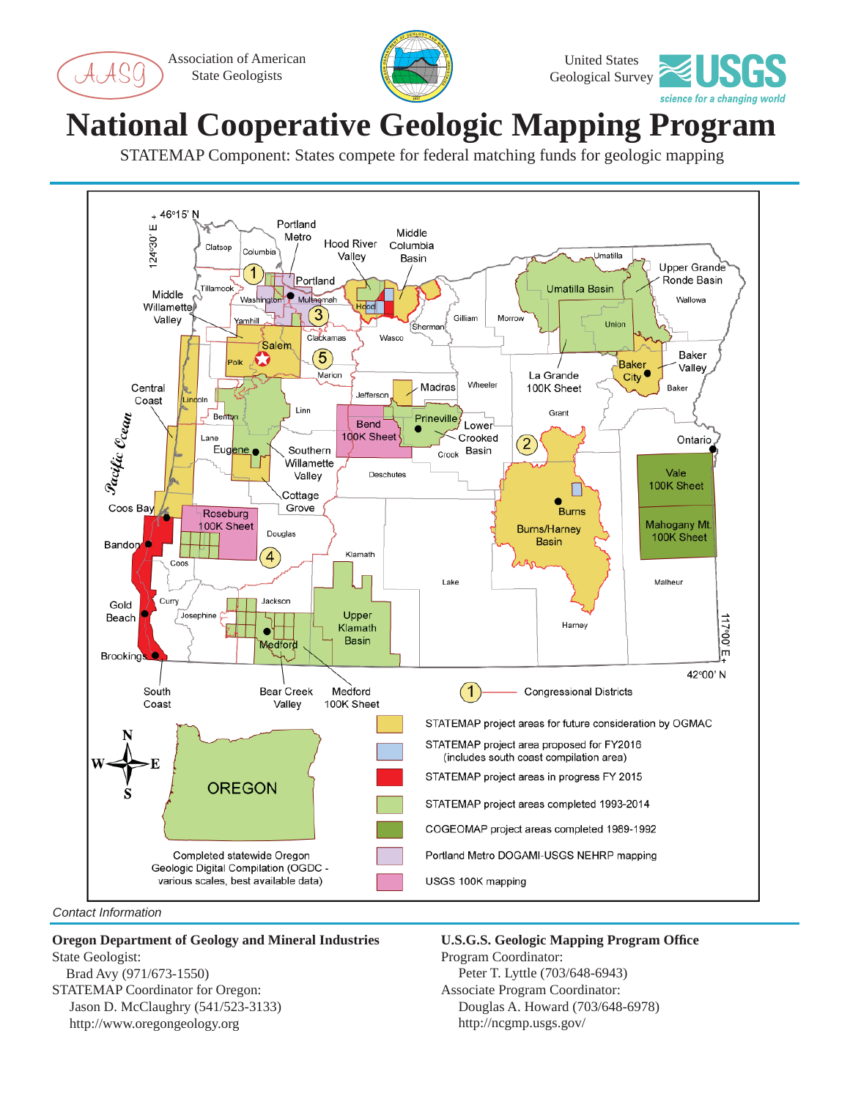Association of American State Geologists





## **National Cooperative Geologic Mapping Program**

STATEMAP Component: States compete for federal matching funds for geologic mapping



*Contact Information*

## **Oregon Department of Geology and Mineral Industries** State Geologist:

 Brad Avy (971/673-1550) STATEMAP Coordinator for Oregon: Jason D. McClaughry (541/523-3133) http://www.oregongeology.org

**U.S.G.S. Geologic Mapping Program Offi ce** Program Coordinator: Peter T. Lyttle (703/648-6943) Associate Program Coordinator: Douglas A. Howard (703/648-6978) http://ncgmp.usgs.gov/